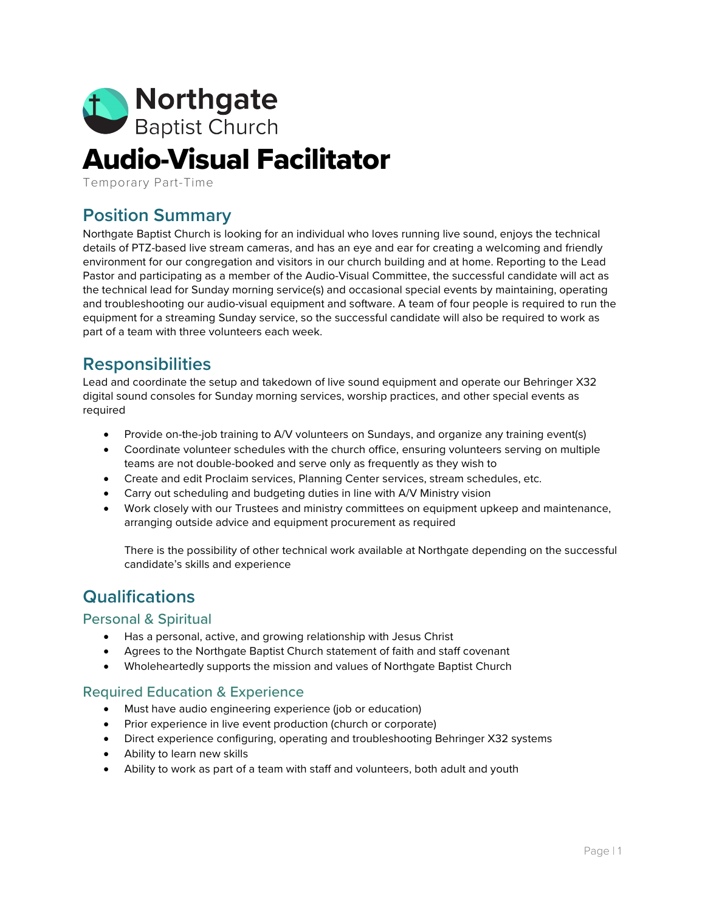

# Audio-Visual Facilitator

Temporary Part-Time

# **Position Summary**

Northgate Baptist Church is looking for an individual who loves running live sound, enjoys the technical details of PTZ-based live stream cameras, and has an eye and ear for creating a welcoming and friendly environment for our congregation and visitors in our church building and at home. Reporting to the Lead Pastor and participating as a member of the Audio-Visual Committee, the successful candidate will act as the technical lead for Sunday morning service(s) and occasional special events by maintaining, operating and troubleshooting our audio-visual equipment and software. A team of four people is required to run the equipment for a streaming Sunday service, so the successful candidate will also be required to work as part of a team with three volunteers each week.

# **Responsibilities**

Lead and coordinate the setup and takedown of live sound equipment and operate our Behringer X32 digital sound consoles for Sunday morning services, worship practices, and other special events as required

- Provide on-the-job training to A/V volunteers on Sundays, and organize any training event(s)
- Coordinate volunteer schedules with the church office, ensuring volunteers serving on multiple teams are not double-booked and serve only as frequently as they wish to
- Create and edit Proclaim services, Planning Center services, stream schedules, etc.
- Carry out scheduling and budgeting duties in line with A/V Ministry vision
- Work closely with our Trustees and ministry committees on equipment upkeep and maintenance, arranging outside advice and equipment procurement as required

There is the possibility of other technical work available at Northgate depending on the successful candidate's skills and experience

# **Qualifications**

#### Personal & Spiritual

- Has a personal, active, and growing relationship with Jesus Christ
- Agrees to the Northgate Baptist Church statement of faith and staff covenant
- Wholeheartedly supports the mission and values of Northgate Baptist Church

#### Required Education & Experience

- Must have audio engineering experience (job or education)
- Prior experience in live event production (church or corporate)
- Direct experience configuring, operating and troubleshooting Behringer X32 systems
- Ability to learn new skills
- Ability to work as part of a team with staff and volunteers, both adult and youth